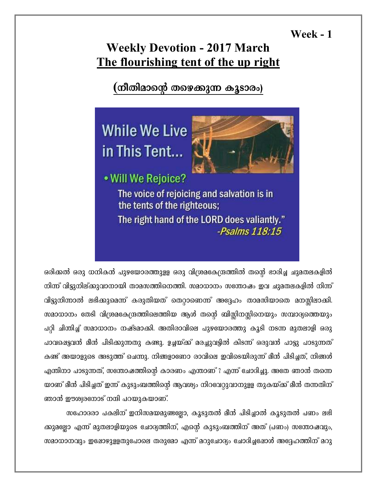## **Week - 1**

## **Weekly Devotion - 2017 March** The flourishing tent of the up right

(നീതിമാന്റെ തഴെക്കുന്ന കൂടാരം)



ഒരിക്കൽ ഒരു ധനികൻ പുഴയോരത്തുളള ഒരു വിശ്രമകേന്ദ്രത്തിൽ തന്റെ ഭാരിച്ച ചുമതലകളിൽ നിന്ന് വിട്ടുനില്ക്കുവാനായി താമസത്തിനെത്തി. സമാധാനം സന്തോഷം ഇവ ചുമതലകളിൽ നിന്ന് വിട്ടുനിന്നാൽ ലഭിക്കുമെന്ന് കരുതിയത് തെറ്റാണെന്ന് അദ്ദേഹം താമസിയാതെ മനസ്സിലാക്കി. സമാധാനം തേടി വിശ്രമകേന്ദ്രത്തിലെത്തിയ ആൾ തന്റെ ബിസ്സിനസ്സിനെയും സമ്പാദ്യത്തെയും പറ്റി ചിന്തിച്ച് സമാധാനം നഷ്ടമാക്കി. അതിരാവിലെ പുഴയോരത്തു കൂടി നടന്ന മുതലാളി ഒരു പാവഷെട്ടവൻ മീൻ പിടിക്കുന്നതു കണ്ടു. ഉച്ചയ്ക്ക് മരച്ചുവട്ടിൽ കിടന്ന് ഒരുവൻ പാട്ടു പാടുന്നത് കണ്ട് അയാളുടെ അടുത്ത് ചെന്നു. നിങ്ങളാണോ രാവിലെ ഇവിടെയിരുന്ന് മീൻ പിടിച്ചത്, നിങ്ങൾ എന്തിനാ പാടുന്നത്, സന്തോഷത്തിന്റെ കാരണം എന്താണ് ? എന്ന് ചോദിച്ചു. അതേ ഞാൻ തന്നെ യാണ് മീൻ പിടിച്ചത് ഇന്ന് കുടുംബത്തിന്റെ ആവശ്യം നിറവേറ്റുവാനുളള തുകയ്ക്ക് മീൻ തന്നതിന് ഞാൻ ഈശ്വരനോട് നന്ദി പറയുകയാണ്.

സഹോദരാ പകലിന് ഇനിസമയമുണ്ടല്ലോ, കൂടുതൽ മീൻ പിടിച്ചാൽ കൂടുതൽ പണം ലഭി ക്കുമല്ലോ എന്ന് മുതലാളിയുടെ ചോദ്യത്തിന്, എന്റെ കുടുംബത്തിന് അത് (പണം) സന്തോഷവും, സമാധാനവും ഇഷോഴുളളതുപോലെ തരുമോ എന്ന് മറുചോദ്യം ചോദിച്ചപോൾ അദ്ദേഹത്തിന് മറു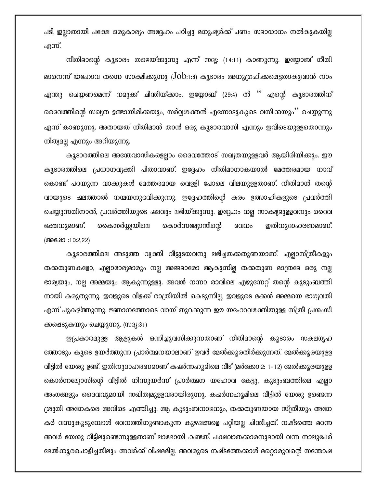പടി ഇല്ലാതായി പക്ഷേ ഒരുകാര്യം അദ്ദേഹം പഠിച്ചു മനുഷ്യർക്ക് പണം സമാധാനം നൽകുകയില്ല എന്ന്.

നീതിമാന്റെ കൂടാരം തഴെയ്ക്കുന്നു എന്ന് സദൃ: (14:11) കാണുന്നു. ഇയ്യോബ് നീതി മാനെന്ന് യഹോവ തന്നെ സാക്ഷിക്കുന്നു ( $Job:1:8$ ) കൂടാരം അനുഗ്രഹിക്കഷെട്ടതാകുവാൻ നാം എന്തു ചെയ്യണമെന്ന് നമുക്ക് ചിന്തിയ്ക്കാം. ഇയ്യോബ് (29:4) ൽ '' എന്റെ കൂടാരത്തിന് ദൈവത്തിന്റെ സഖ്യത ഉണ്ടായിരിക്കയും, സർവ്വശക്തൻ എന്നോടുകൂടെ വസിക്കയും'' ചെയ്യുന്നു എന്ന് കാണുന്നു. അതായത് നീതിമാൻ താൻ ഒരു കൂടാരവാസി എന്നും ഇവിടെയുളളതൊന്നും നിത്യമല്ല എന്നും അറിയുന്നു.

കൂടാരത്തിലെ അന്തേവാസികളെല്ലാം ദൈവത്തോട് സഖ്യതയുളളവർ ആയിരിയിക്കും. ഈ കൂടാരത്തിലെ പ്രധാനവ്യക്തി പിതാവാണ്. ഇദ്ദേഹം നീതിമാനാകയാൽ മേത്തരമായ നാവ് കൊണ്ട് പറയുന്ന വാക്കുകൾ മേത്തരമായ വെള്ളി പോലെ വിലയുളളതാണ്. നീതിമാൻ തന്റെ വായുടെ ഷലത്താൽ നന്മയനുഭവിക്കുന്നു. ഇദ്ദേഹത്തിന്റെ കരം ഉത്സാഹികളുടെ പ്രവർത്തി ചെയ്യുന്നതിനാൽ, പ്രവർത്തിയുടെ ഷലവും ലഭിയ്ക്കുന്നു. ഇദ്ദേഹം നല്ല സാക്ഷ്യമുളളവനും ദൈവ ഇതിനുദാഹരണമാണ്. കൊർന്നല്യോസിന്റെ കൈസർയ്യ്യയിലെ ഭക്തനുമാണ്. ഭവനം (അഷോ :10:2,22)

കൂടാരത്തിലെ അടുത്ത വ്യക്തി വീട്ടുടയവനു ലഭിച്ചതക്കതുണയാണ്. എല്ലാസ്ത്രീകളും തക്കതുണകളോ, എല്ലാഭാര്യമാരും നല്ല അമ്മമാരോ ആകുന്നില്ല തക്കതുണ മാത്രമേ ഒരു നല്ല ഭാര്യയും, നല്ല അമ്മയും ആകുന്നുള്ളു. അവൾ നന്നാ രാവിലെ എഴുന്നേറ്റ് തന്റെ കുടുംബത്തി നായി കരുതുന്നു. ഇവളുടെ വിളക്ക് രാത്രിയിൽ കെടുന്നില്ല, ഇവളുടെ മക്കൾ അമ്മയെ ഭാഗ്യവതി എന്ന് പുകഴ്ത്തുന്നു. ജ്ഞാനത്തോടെ വായ് തുറക്കുന്ന ഈ യഹോവഭക്തിയുള്ള സ്ത്രീ പ്രശംസി ക്കപ്പെടുകയും ചെയ്യുന്നു. (സദൃ:31)

ഇപ്രകാരമുള്ള ആളുകൾ ഒന്നിച്ചുവസിക്കുന്നതാണ് നീതിമാന്റെ കൂടാരം സകലഗൃഹ ത്തോടും കൂടെ ഉയർത്തുന്ന പ്രാർത്ഥനയാലാണ് ഇവർ മേൽക്കൂരതീർക്കുന്നത്. മേൽക്കൂരയുളള വീട്ടിൽ യേശു ഉണ്ട്. ഇതിനുദാഹരണമാണ് കഷർന്നഹൃമിലെ വീട് (മർക്കോ:2: 1-12) മേൽക്കൃരയുളള കൊർന്നല്യോസിന്റെ വീട്ടിൽ നിന്നുയർന്ന് പ്രാർത്ഥന യഹോവ കേട്ടു, കുടുംബത്തിലെ എല്ലാ അംഗങ്ങളും ദൈവവുമായി സഖിത്വമുളളവരായിരുന്നു. കഷർന്നഹൂമിലെ വീട്ടിൽ യേശു ഉണ്ടെന്ന ശ്രുതി അനേകരെ അവിടെ എത്തിച്ചു. ആ കുടുംബനാഥനും, തക്കതുണയായ സ്ത്രീയും അനേ കർ വന്നുകൂടുമ്പോൾ ഭവനത്തിനുണ്ടാകുന്ന കുഴഷങ്ങളെ പറ്റിയല്ല ചിന്തിച്ചത്. നഷ്ടത്തെ മറന്ന അവർ യേശു വീട്ടിലുണ്ടെന്നുളളതാണ് ലാഭമായി കണ്ടത്. പക്ഷവാതക്കാരനുമായി വന്ന നാലുപേർ ഭമൽക്കൂരപൊളിച്ചതിലും അവർക്ക് വിഷമമില്ല. അവരുടെ നഷ്ടത്തേക്കാൾ മറ്റൊരുവന്റെ സന്തോഷ